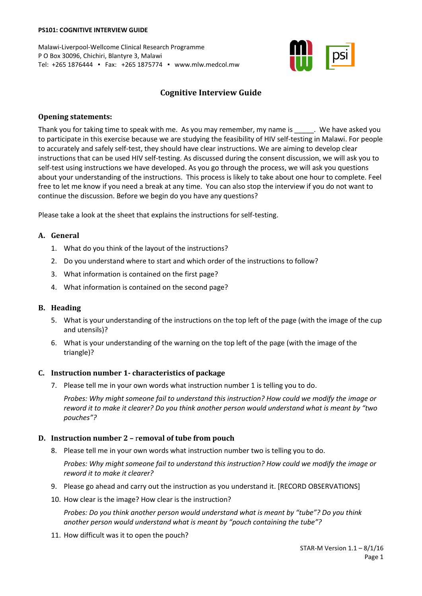#### **PS101: COGNITIVE INTERVIEW GUIDE**

Malawi-Liverpool-Wellcome Clinical Research Programme P O Box 30096, Chichiri, Blantyre 3, Malawi Tel: +265 1876444 ▪ Fax: +265 1875774 ▪ www.mlw.medcol.mw



# **Cognitive Interview Guide**

#### **Opening statements:**

Thank you for taking time to speak with me. As you may remember, my name is The have asked you to participate in this exercise because we are studying the feasibility of HIV self-testing in Malawi. For people to accurately and safely self-test, they should have clear instructions. We are aiming to develop clear instructions that can be used HIV self-testing. As discussed during the consent discussion, we will ask you to self-test using instructions we have developed. As you go through the process, we will ask you questions about your understanding of the instructions. This process is likely to take about one hour to complete. Feel free to let me know if you need a break at any time. You can also stop the interview if you do not want to continue the discussion. Before we begin do you have any questions?

Please take a look at the sheet that explains the instructions for self-testing.

#### **A. General**

- 1. What do you think of the layout of the instructions?
- 2. Do you understand where to start and which order of the instructions to follow?
- 3. What information is contained on the first page?
- 4. What information is contained on the second page?

#### **B. Heading**

- 5. What is your understanding of the instructions on the top left of the page (with the image of the cup and utensils)?
- 6. What is your understanding of the warning on the top left of the page (with the image of the triangle)?

#### **C. Instruction number 1- characteristics of package**

7. Please tell me in your own words what instruction number 1 is telling you to do.

*Probes: Why might someone fail to understand this instruction? How could we modify the image or reword it to make it clearer? Do you think another person would understand what is meant by "two pouches"?*

# **D. Instruction number 2 –** r**emoval of tube from pouch**

8. Please tell me in your own words what instruction number two is telling you to do.

*Probes: Why might someone fail to understand this instruction? How could we modify the image or reword it to make it clearer?*

- 9. Please go ahead and carry out the instruction as you understand it. [RECORD OBSERVATIONS]
- 10. How clear is the image? How clear is the instruction?

*Probes: Do you think another person would understand what is meant by "tube"? Do you think another person would understand what is meant by "pouch containing the tube"?*

11. How difficult was it to open the pouch?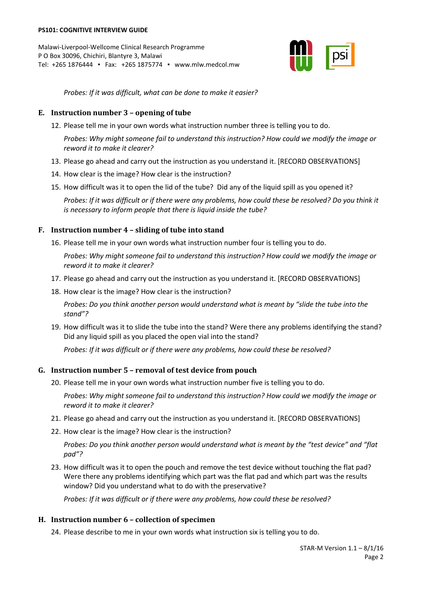

*Probes: If it was difficult, what can be done to make it easier?*

# **E. Instruction number 3 – opening of tube**

12. Please tell me in your own words what instruction number three is telling you to do.

*Probes: Why might someone fail to understand this instruction? How could we modify the image or reword it to make it clearer?*

- 13. Please go ahead and carry out the instruction as you understand it. [RECORD OBSERVATIONS]
- 14. How clear is the image? How clear is the instruction?
- 15. How difficult was it to open the lid of the tube? Did any of the liquid spill as you opened it?

*Probes: If it was difficult or if there were any problems, how could these be resolved? Do you think it is necessary to inform people that there is liquid inside the tube?*

# **F. Instruction number 4 – sliding of tube into stand**

16. Please tell me in your own words what instruction number four is telling you to do.

*Probes: Why might someone fail to understand this instruction? How could we modify the image or reword it to make it clearer?*

- 17. Please go ahead and carry out the instruction as you understand it. [RECORD OBSERVATIONS]
- 18. How clear is the image? How clear is the instruction?

*Probes: Do you think another person would understand what is meant by "slide the tube into the stand"?*

19. How difficult was it to slide the tube into the stand? Were there any problems identifying the stand? Did any liquid spill as you placed the open vial into the stand?

*Probes: If it was difficult or if there were any problems, how could these be resolved?*

# **G. Instruction number 5 – removal of test device from pouch**

20. Please tell me in your own words what instruction number five is telling you to do.

*Probes: Why might someone fail to understand this instruction? How could we modify the image or reword it to make it clearer?*

- 21. Please go ahead and carry out the instruction as you understand it. [RECORD OBSERVATIONS]
- 22. How clear is the image? How clear is the instruction?

*Probes: Do you think another person would understand what is meant by the "test device" and "flat pad"?*

23. How difficult was it to open the pouch and remove the test device without touching the flat pad? Were there any problems identifying which part was the flat pad and which part was the results window? Did you understand what to do with the preservative?

*Probes: If it was difficult or if there were any problems, how could these be resolved?*

# **H. Instruction number 6 – collection of specimen**

24. Please describe to me in your own words what instruction six is telling you to do.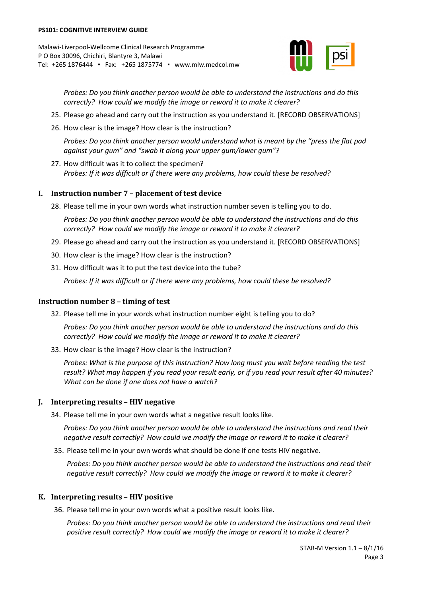

*Probes: Do you think another person would be able to understand the instructions and do this correctly? How could we modify the image or reword it to make it clearer?*

- 25. Please go ahead and carry out the instruction as you understand it. [RECORD OBSERVATIONS]
- 26. How clear is the image? How clear is the instruction?

*Probes: Do you think another person would understand what is meant by the "press the flat pad against your gum" and "swab it along your upper gum/lower gum"?*

27. How difficult was it to collect the specimen? *Probes: If it was difficult or if there were any problems, how could these be resolved?*

# **I. Instruction number 7 – placement of test device**

28. Please tell me in your own words what instruction number seven is telling you to do.

*Probes: Do you think another person would be able to understand the instructions and do this correctly? How could we modify the image or reword it to make it clearer?*

- 29. Please go ahead and carry out the instruction as you understand it. [RECORD OBSERVATIONS]
- 30. How clear is the image? How clear is the instruction?
- 31. How difficult was it to put the test device into the tube?

*Probes: If it was difficult or if there were any problems, how could these be resolved?*

#### **Instruction number 8 – timing of test**

32. Please tell me in your words what instruction number eight is telling you to do?

*Probes: Do you think another person would be able to understand the instructions and do this correctly? How could we modify the image or reword it to make it clearer?*

33. How clear is the image? How clear is the instruction?

*Probes: What is the purpose of this instruction? How long must you wait before reading the test result? What may happen if you read your result early, or if you read your result after 40 minutes? What can be done if one does not have a watch?*

# **J. Interpreting results – HIV negative**

34. Please tell me in your own words what a negative result looks like.

*Probes: Do you think another person would be able to understand the instructions and read their negative result correctly? How could we modify the image or reword it to make it clearer?*

35. Please tell me in your own words what should be done if one tests HIV negative.

*Probes: Do you think another person would be able to understand the instructions and read their negative result correctly? How could we modify the image or reword it to make it clearer?*

# **K. Interpreting results – HIV positive**

36. Please tell me in your own words what a positive result looks like.

*Probes: Do you think another person would be able to understand the instructions and read their positive result correctly? How could we modify the image or reword it to make it clearer?*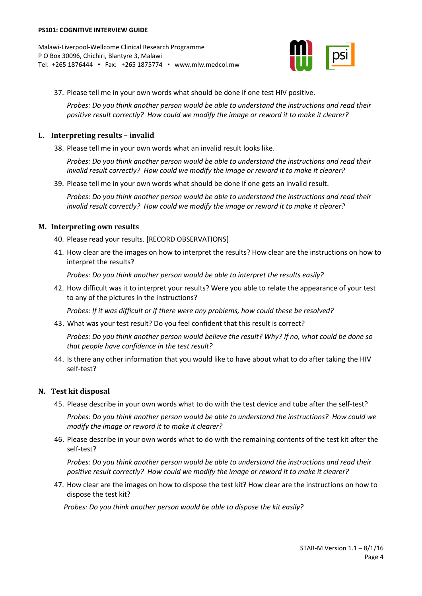

37. Please tell me in your own words what should be done if one test HIV positive.

*Probes: Do you think another person would be able to understand the instructions and read their positive result correctly? How could we modify the image or reword it to make it clearer?*

#### **L. Interpreting results – invalid**

38. Please tell me in your own words what an invalid result looks like.

*Probes: Do you think another person would be able to understand the instructions and read their invalid result correctly? How could we modify the image or reword it to make it clearer?*

39. Please tell me in your own words what should be done if one gets an invalid result.

*Probes: Do you think another person would be able to understand the instructions and read their invalid result correctly? How could we modify the image or reword it to make it clearer?*

#### **M. Interpreting own results**

40. Please read your results. [RECORD OBSERVATIONS]

41. How clear are the images on how to interpret the results? How clear are the instructions on how to interpret the results?

*Probes: Do you think another person would be able to interpret the results easily?*

42. How difficult was it to interpret your results? Were you able to relate the appearance of your test to any of the pictures in the instructions?

*Probes: If it was difficult or if there were any problems, how could these be resolved?*

43. What was your test result? Do you feel confident that this result is correct?

*Probes: Do you think another person would believe the result? Why? If no, what could be done so that people have confidence in the test result?*

44. Is there any other information that you would like to have about what to do after taking the HIV self-test?

# **N. Test kit disposal**

45. Please describe in your own words what to do with the test device and tube after the self-test?

*Probes: Do you think another person would be able to understand the instructions? How could we modify the image or reword it to make it clearer?*

46. Please describe in your own words what to do with the remaining contents of the test kit after the self-test?

*Probes: Do you think another person would be able to understand the instructions and read their positive result correctly? How could we modify the image or reword it to make it clearer?*

47. How clear are the images on how to dispose the test kit? How clear are the instructions on how to dispose the test kit?

*Probes: Do you think another person would be able to dispose the kit easily?*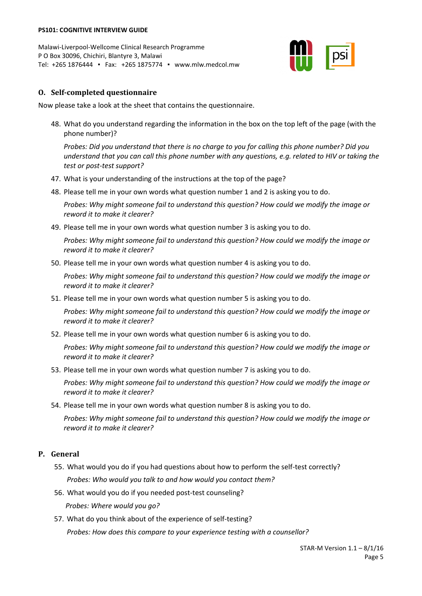

# **O. Self-completed questionnaire**

Now please take a look at the sheet that contains the questionnaire.

48. What do you understand regarding the information in the box on the top left of the page (with the phone number)?

*Probes: Did you understand that there is no charge to you for calling this phone number? Did you understand that you can call this phone number with any questions, e.g. related to HIV or taking the test or post-test support?*

- 47. What is your understanding of the instructions at the top of the page?
- 48. Please tell me in your own words what question number 1 and 2 is asking you to do.

*Probes: Why might someone fail to understand this question? How could we modify the image or reword it to make it clearer?*

49. Please tell me in your own words what question number 3 is asking you to do.

*Probes: Why might someone fail to understand this question? How could we modify the image or reword it to make it clearer?*

50. Please tell me in your own words what question number 4 is asking you to do.

*Probes: Why might someone fail to understand this question? How could we modify the image or reword it to make it clearer?*

51. Please tell me in your own words what question number 5 is asking you to do.

*Probes: Why might someone fail to understand this question? How could we modify the image or reword it to make it clearer?*

52. Please tell me in your own words what question number 6 is asking you to do.

*Probes: Why might someone fail to understand this question? How could we modify the image or reword it to make it clearer?*

53. Please tell me in your own words what question number 7 is asking you to do.

*Probes: Why might someone fail to understand this question? How could we modify the image or reword it to make it clearer?*

54. Please tell me in your own words what question number 8 is asking you to do.

*Probes: Why might someone fail to understand this question? How could we modify the image or reword it to make it clearer?*

# **P. General**

- 55. What would you do if you had questions about how to perform the self-test correctly? *Probes: Who would you talk to and how would you contact them?*
- 56. What would you do if you needed post-test counseling? *Probes: Where would you go?*
- 57. What do you think about of the experience of self-testing? *Probes: How does this compare to your experience testing with a counsellor?*